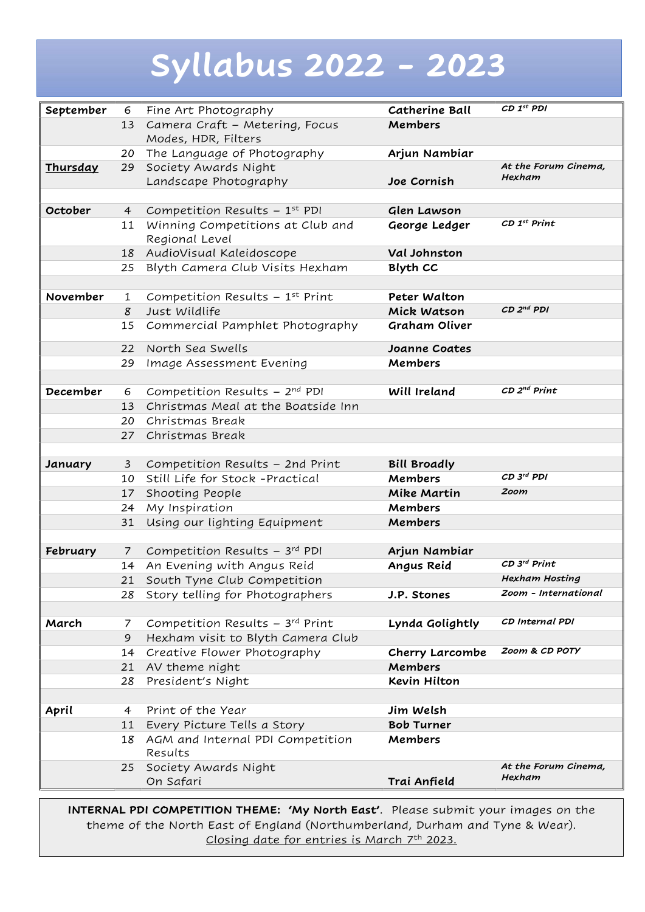# Syllabus 2022 - 2023

| September | 6               | Fine Art Photography                        | <b>Catherine Ball</b> | CD 1st PDI                 |
|-----------|-----------------|---------------------------------------------|-----------------------|----------------------------|
|           | 13              | Camera Craft - Metering, Focus              | <b>Members</b>        |                            |
|           |                 | Modes, HDR, Filters                         |                       |                            |
|           |                 | 20 The Language of Photography              | Arjun Nambiar         |                            |
| Thursday  | 29              | Society Awards Night                        |                       | At the Forum Cinema,       |
|           |                 | Landscape Photography                       | Joe Cornish           | Hexham                     |
|           |                 |                                             |                       |                            |
| October   | 4               | Competition Results $-1^{st}$ PDI           | Glen Lawson           |                            |
|           | 11              | Winning Competitions at Club and            | George Ledger         | $CDI^{st}$ Print           |
|           |                 | Regional Level                              |                       |                            |
|           |                 | 18 AudioVisual Kaleidoscope                 | Val Johnston          |                            |
|           | 25              | Blyth Camera Club Visits Hexham             | <b>Blyth CC</b>       |                            |
|           |                 |                                             |                       |                            |
| November  | 1               | Competition Results $-1^{st}$ Print         | Peter Walton          |                            |
|           | 8               | Just Wildlife                               | Mick Watson           | $CD2nd$ PDI                |
|           | 15              | Commercial Pamphlet Photography             | Graham Oliver         |                            |
|           | 22              | North Sea Swells                            | Joanne Coates         |                            |
|           | 29              | Image Assessment Evening                    | Members               |                            |
|           |                 |                                             |                       |                            |
| December  | 6               | Competition Results - 2nd PDI               | Will Ireland          | $CD$ $2^{nd}$ $Print$      |
|           | 13 <sup>7</sup> | Christmas Meal at the Boatside Inn          |                       |                            |
|           | 20              | Christmas Break                             |                       |                            |
|           | 27              | Christmas Break                             |                       |                            |
|           |                 |                                             |                       |                            |
| January   | $\mathbf{3}$    | Competition Results - 2nd Print             | <b>Bill Broadly</b>   |                            |
|           | 10              | Still Life for Stock -Practical             | Members               | CD 3rd PDI                 |
|           | 17              | Shooting People                             | Mike Martin           | Zoom                       |
|           | 24              | My Inspiration                              | Members               |                            |
|           | 31              | Using our lighting Equipment                | Members               |                            |
|           |                 |                                             |                       |                            |
| February  | $7\overline{ }$ | Competition Results $-3^{rd}$ PDI           | Arjun Nambiar         |                            |
|           |                 | 14 An Evening with Angus Reid               | Angus Reid            | $CD$ 3 <sup>rd</sup> Print |
|           | 21              | South Tyne Club Competition                 |                       | Hexham Hosting             |
|           | 28              | Story telling for Photographers             | J.P. Stones           | Zoom - International       |
|           |                 |                                             |                       |                            |
| March     | 7               | Competition Results $-3^{rd}$ Print         | Lynda Golightly       | CD Internal PDI            |
|           | 9               | Hexham visit to Blyth Camera Club           |                       |                            |
|           | 14              | Creative Flower Photography                 | Cherry Larcombe       | Zoom & CD POTY             |
|           | 21              | AV theme night                              | Members               |                            |
|           | 28              | President's Night                           | <b>Kevin Hilton</b>   |                            |
|           |                 |                                             |                       |                            |
| April     | 4               | Print of the Year                           | Jim Welsh             |                            |
|           | 11              | Every Picture Tells a Story                 | <b>Bob Turner</b>     |                            |
|           | 18              | AGM and Internal PDI Competition<br>Results | Members               |                            |
|           | 25              | Society Awards Night                        |                       | At the Forum Cinema,       |
|           |                 | On Safari                                   | Trai Anfield          | Hexham                     |
|           |                 |                                             |                       |                            |

INTERNAL PDI COMPETITION THEME: 'My North East'. Please submit your images on the theme of the North East of England (Northumberland, Durham and Tyne & Wear). Closing date for entries is March 7th 2023.